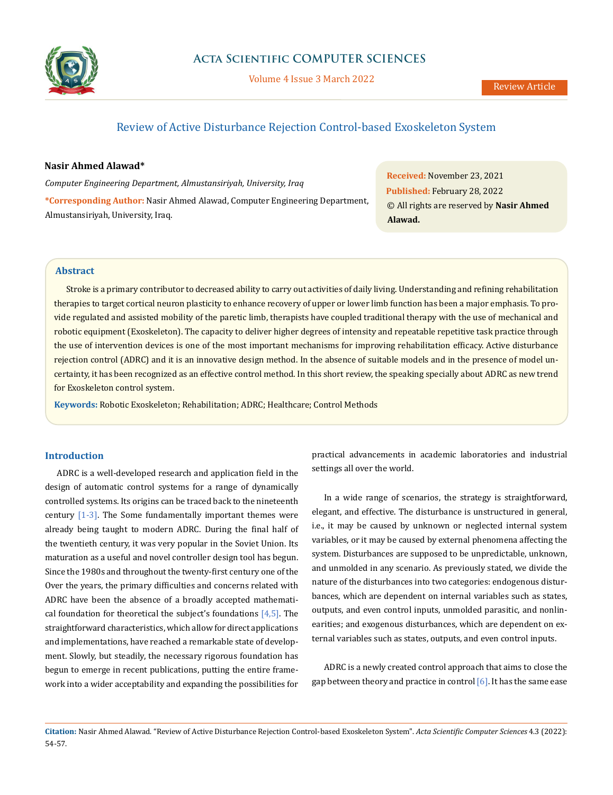

Volume 4 Issue 3 March 2022

# Review of Active Disturbance Rejection Control-based Exoskeleton System

### **Nasir Ahmed Alawad\***

*Computer Engineering Department, Almustansiriyah, University, Iraq* **\*Corresponding Author:** Nasir Ahmed Alawad, Computer Engineering Department, Almustansiriyah, University, Iraq.

**Received:** November 23, 2021 **Published:** February 28, 2022 © All rights are reserved by **Nasir Ahmed Alawad.**

## **Abstract**

Stroke is a primary contributor to decreased ability to carry out activities of daily living. Understanding and refining rehabilitation therapies to target cortical neuron plasticity to enhance recovery of upper or lower limb function has been a major emphasis. To provide regulated and assisted mobility of the paretic limb, therapists have coupled traditional therapy with the use of mechanical and robotic equipment (Exoskeleton). The capacity to deliver higher degrees of intensity and repeatable repetitive task practice through the use of intervention devices is one of the most important mechanisms for improving rehabilitation efficacy. Active disturbance rejection control (ADRC) and it is an innovative design method. In the absence of suitable models and in the presence of model uncertainty, it has been recognized as an effective control method. In this short review, the speaking specially about ADRC as new trend for Exoskeleton control system.

**Keywords:** Robotic Exoskeleton; Rehabilitation; ADRC; Healthcare; Control Methods

### **Introduction**

ADRC is a well-developed research and application field in the design of automatic control systems for a range of dynamically controlled systems. Its origins can be traced back to the nineteenth century [1-3]. The Some fundamentally important themes were already being taught to modern ADRC. During the final half of the twentieth century, it was very popular in the Soviet Union. Its maturation as a useful and novel controller design tool has begun. Since the 1980s and throughout the twenty-first century one of the Over the years, the primary difficulties and concerns related with ADRC have been the absence of a broadly accepted mathematical foundation for theoretical the subject's foundations  $[4,5]$ . The straightforward characteristics, which allow for direct applications and implementations, have reached a remarkable state of development. Slowly, but steadily, the necessary rigorous foundation has begun to emerge in recent publications, putting the entire framework into a wider acceptability and expanding the possibilities for practical advancements in academic laboratories and industrial settings all over the world.

In a wide range of scenarios, the strategy is straightforward, elegant, and effective. The disturbance is unstructured in general, i.e., it may be caused by unknown or neglected internal system variables, or it may be caused by external phenomena affecting the system. Disturbances are supposed to be unpredictable, unknown, and unmolded in any scenario. As previously stated, we divide the nature of the disturbances into two categories: endogenous disturbances, which are dependent on internal variables such as states, outputs, and even control inputs, unmolded parasitic, and nonlinearities; and exogenous disturbances, which are dependent on external variables such as states, outputs, and even control inputs.

ADRC is a newly created control approach that aims to close the gap between theory and practice in control  $[6]$ . It has the same ease

**Citation:** Nasir Ahmed Alawad. "Review of Active Disturbance Rejection Control-based Exoskeleton System". *Acta Scientific Computer Sciences* 4.3 (2022): 54-57.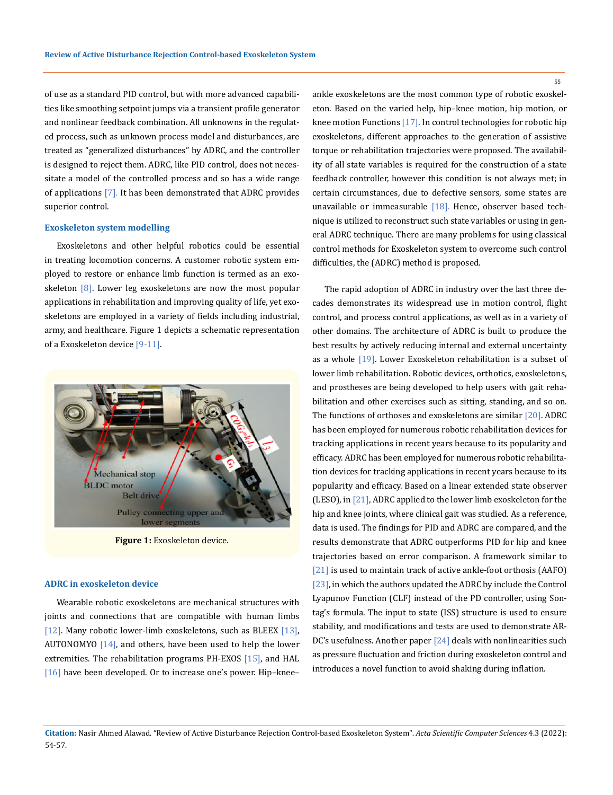of use as a standard PID control, but with more advanced capabilities like smoothing setpoint jumps via a transient profile generator and nonlinear feedback combination. All unknowns in the regulated process, such as unknown process model and disturbances, are treated as "generalized disturbances" by ADRC, and the controller is designed to reject them. ADRC, like PID control, does not necessitate a model of the controlled process and so has a wide range of applications [7]. It has been demonstrated that ADRC provides superior control.

#### **Exoskeleton system modelling**

Exoskeletons and other helpful robotics could be essential in treating locomotion concerns. A customer robotic system employed to restore or enhance limb function is termed as an exoskeleton  $\lceil 8 \rceil$ . Lower leg exoskeletons are now the most popular applications in rehabilitation and improving quality of life, yet exoskeletons are employed in a variety of fields including industrial, army, and healthcare. Figure 1 depicts a schematic representation of a Exoskeleton device [9-11].



**Figure 1:** Exoskeleton device.

#### **ADRC in exoskeleton device**

Wearable robotic exoskeletons are mechanical structures with joints and connections that are compatible with human limbs [12]. Many robotic lower-limb exoskeletons, such as BLEEX [13], AUTONOMYO [14], and others, have been used to help the lower extremities. The rehabilitation programs PH-EXOS [15], and HAL [16] have been developed. Or to increase one's power. Hip-kneeankle exoskeletons are the most common type of robotic exoskeleton. Based on the varied help, hip–knee motion, hip motion, or knee motion Functions [17]. In control technologies for robotic hip exoskeletons, different approaches to the generation of assistive torque or rehabilitation trajectories were proposed. The availability of all state variables is required for the construction of a state feedback controller, however this condition is not always met; in certain circumstances, due to defective sensors, some states are unavailable or immeasurable  $[18]$ . Hence, observer based technique is utilized to reconstruct such state variables or using in general ADRC technique. There are many problems for using classical control methods for Exoskeleton system to overcome such control difficulties, the (ADRC) method is proposed.

The rapid adoption of ADRC in industry over the last three decades demonstrates its widespread use in motion control, flight control, and process control applications, as well as in a variety of other domains. The architecture of ADRC is built to produce the best results by actively reducing internal and external uncertainty as a whole [19]. Lower Exoskeleton rehabilitation is a subset of lower limb rehabilitation. Robotic devices, orthotics, exoskeletons, and prostheses are being developed to help users with gait rehabilitation and other exercises such as sitting, standing, and so on. The functions of orthoses and exoskeletons are similar [20]. ADRC has been employed for numerous robotic rehabilitation devices for tracking applications in recent years because to its popularity and efficacy. ADRC has been employed for numerous robotic rehabilitation devices for tracking applications in recent years because to its popularity and efficacy. Based on a linear extended state observer (LESO), in [21], ADRC applied to the lower limb exoskeleton for the hip and knee joints, where clinical gait was studied. As a reference, data is used. The findings for PID and ADRC are compared, and the results demonstrate that ADRC outperforms PID for hip and knee trajectories based on error comparison. A framework similar to [21] is used to maintain track of active ankle-foot orthosis (AAFO) [23], in which the authors updated the ADRC by include the Control Lyapunov Function (CLF) instead of the PD controller, using Sontag's formula. The input to state (ISS) structure is used to ensure stability, and modifications and tests are used to demonstrate AR-DC's usefulness. Another paper [24] deals with nonlinearities such as pressure fluctuation and friction during exoskeleton control and introduces a novel function to avoid shaking during inflation.

55

**Citation:** Nasir Ahmed Alawad. "Review of Active Disturbance Rejection Control-based Exoskeleton System". *Acta Scientific Computer Sciences* 4.3 (2022): 54-57.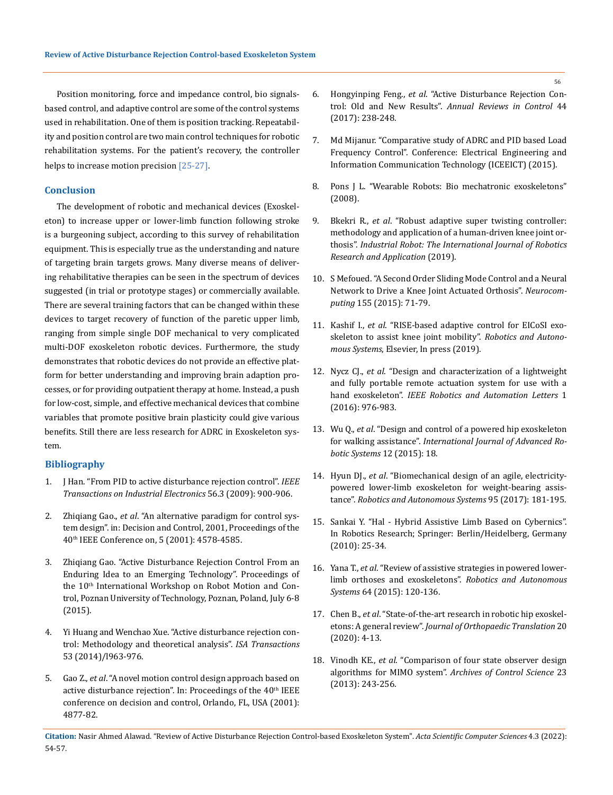Position monitoring, force and impedance control, bio signalsbased control, and adaptive control are some of the control systems used in rehabilitation. One of them is position tracking. Repeatability and position control are two main control techniques for robotic rehabilitation systems. For the patient's recovery, the controller helps to increase motion precision [25-27].

### **Conclusion**

The development of robotic and mechanical devices (Exoskeleton) to increase upper or lower-limb function following stroke is a burgeoning subject, according to this survey of rehabilitation equipment. This is especially true as the understanding and nature of targeting brain targets grows. Many diverse means of delivering rehabilitative therapies can be seen in the spectrum of devices suggested (in trial or prototype stages) or commercially available. There are several training factors that can be changed within these devices to target recovery of function of the paretic upper limb, ranging from simple single DOF mechanical to very complicated multi-DOF exoskeleton robotic devices. Furthermore, the study demonstrates that robotic devices do not provide an effective platform for better understanding and improving brain adaption processes, or for providing outpatient therapy at home. Instead, a push for low-cost, simple, and effective mechanical devices that combine variables that promote positive brain plasticity could give various benefits. Still there are less research for ADRC in Exoskeleton system.

#### **Bibliography**

- 1. [J Han. "From PID to active disturbance rejection control".](https://ieeexplore.ieee.org/document/4796887) *IEEE [Transactions on Industrial Electronics](https://ieeexplore.ieee.org/document/4796887)* 56.3 (2009): 900-906.
- 2. Zhiqiang Gao., *et al*[. "An alternative paradigm for control sys](https://ieeexplore.ieee.org/document/980926)[tem design". in: Decision and Control, 2001, Proceedings of the](https://ieeexplore.ieee.org/document/980926)  [40th IEEE Conference on, 5 \(2001\): 4578-4585.](https://ieeexplore.ieee.org/document/980926)
- 3. [Zhiqiang Gao. "Active Disturbance Rejection Control From an](https://www.researchgate.net/publication/308735181_Active_disturbance_rejection_control_From_an_enduring_idea_to_an_emerging_technology)  [Enduring Idea to an Emerging Technology". Proceedings of](https://www.researchgate.net/publication/308735181_Active_disturbance_rejection_control_From_an_enduring_idea_to_an_emerging_technology)  [the 10th International Workshop on Robot Motion and Con](https://www.researchgate.net/publication/308735181_Active_disturbance_rejection_control_From_an_enduring_idea_to_an_emerging_technology)[trol, Poznan University of Technology, Poznan, Poland, July 6-8](https://www.researchgate.net/publication/308735181_Active_disturbance_rejection_control_From_an_enduring_idea_to_an_emerging_technology)  [\(2015\).](https://www.researchgate.net/publication/308735181_Active_disturbance_rejection_control_From_an_enduring_idea_to_an_emerging_technology)
- 4. [Yi Huang and Wenchao Xue. "Active disturbance rejection con](https://www.sciencedirect.com/science/article/abs/pii/S0019057814000445)[trol: Methodology and theoretical analysis".](https://www.sciencedirect.com/science/article/abs/pii/S0019057814000445) *ISA Transactions* [53 \(2014\)/l963-976.](https://www.sciencedirect.com/science/article/abs/pii/S0019057814000445)
- 5. Gao Z., *et al*[. "A novel motion control design approach based on](https://ieeexplore.ieee.org/document/980980)  active disturbance rejection". In: Proceedings of the 40<sup>th</sup> IEEE [conference on decision and control, Orlando, FL, USA \(2001\):](https://ieeexplore.ieee.org/document/980980)  [4877-82.](https://ieeexplore.ieee.org/document/980980)
- 6. Hongyinping Feng., *et al*[. "Active Disturbance Rejection Con](https://www.researchgate.net/publication/316927140_Active_Disturbance_Rejection_Control_Old_and_New_Results)trol: Old and New Results". *[Annual Reviews in Control](https://www.researchgate.net/publication/316927140_Active_Disturbance_Rejection_Control_Old_and_New_Results)* 44 [\(2017\): 238-248.](https://www.researchgate.net/publication/316927140_Active_Disturbance_Rejection_Control_Old_and_New_Results)
- 7. [Md Mijanur. "Comparative study of ADRC and PID based Load](https://ieeexplore.ieee.org/abstract/document/7307483)  [Frequency Control". Conference: Electrical Engineering and](https://ieeexplore.ieee.org/abstract/document/7307483)  [Information Communication Technology \(ICEEICT\) \(2015\).](https://ieeexplore.ieee.org/abstract/document/7307483)
- 8. Pons J L. "Wearable Robots: Bio mechatronic exoskeletons" (2008).
- 9. Bkekri R., *et al*. "Robust adaptive super twisting controller: methodology and application of a human-driven knee joint orthosis". *Industrial Robot: The International Journal of Robotics Research and Application* (2019).
- 10. [S Mefoued. "A Second Order Sliding Mode Control and a Neural](https://www.sciencedirect.com/science/article/abs/pii/S0925231214017111)  [Network to Drive a Knee Joint Actuated Orthosis".](https://www.sciencedirect.com/science/article/abs/pii/S0925231214017111) *Neurocomputing* [155 \(2015\): 71-79.](https://www.sciencedirect.com/science/article/abs/pii/S0925231214017111)
- 11. Kashif I., *et al*[. "RISE-based adaptive control for EICoSI exo](https://hal.archives-ouvertes.fr/lirmm-02356817/)[skeleton to assist knee joint mobility".](https://hal.archives-ouvertes.fr/lirmm-02356817/) *Robotics and Autonomous Systems*[, Elsevier, In press \(2019\).](https://hal.archives-ouvertes.fr/lirmm-02356817/)
- 12. Nycz CJ., *et al*[. "Design and characterization of a lightweight](https://ieeexplore.ieee.org/document/7403900)  [and fully portable remote actuation system for use with a](https://ieeexplore.ieee.org/document/7403900)  hand exoskeleton". *[IEEE Robotics and Automation Letters](https://ieeexplore.ieee.org/document/7403900)* 1 [\(2016\): 976-983.](https://ieeexplore.ieee.org/document/7403900)
- 13. Wu Q., *et al*[. "Design and control of a powered hip exoskeleton](https://journals.sagepub.com/doi/10.5772/59757)  for walking assistance". *[International Journal of Advanced Ro](https://journals.sagepub.com/doi/10.5772/59757)[botic Systems](https://journals.sagepub.com/doi/10.5772/59757)* 12 (2015): 18.
- 14. Hyun DJ., *et al*[. "Biomechanical design of an agile, electricity](https://www.sciencedirect.com/science/article/abs/pii/S0921889017300982)[powered lower-limb exoskeleton for weight-bearing assis](https://www.sciencedirect.com/science/article/abs/pii/S0921889017300982)tance". *[Robotics and Autonomous Systems](https://www.sciencedirect.com/science/article/abs/pii/S0921889017300982)* 95 (2017): 181-195.
- 15. [Sankai Y. "Hal Hybrid Assistive Limb Based on Cybernics".](https://link.springer.com/chapter/10.1007/978-3-642-14743-2_3)  [In Robotics Research; Springer: Berlin/Heidelberg, Germany](https://link.springer.com/chapter/10.1007/978-3-642-14743-2_3)  [\(2010\): 25-34.](https://link.springer.com/chapter/10.1007/978-3-642-14743-2_3)
- 16. Yana T., *et al*[. "Review of assistive strategies in powered lower](https://www.sciencedirect.com/science/article/abs/pii/S0921889014002176)[limb orthoses and exoskeletons".](https://www.sciencedirect.com/science/article/abs/pii/S0921889014002176) *Robotics and Autonomous Systems* [64 \(2015\): 120-136.](https://www.sciencedirect.com/science/article/abs/pii/S0921889014002176)
- 17. Chen B., *et al*[. "State-of-the-art research in robotic hip exoskel](https://www.sciencedirect.com/science/article/pii/S2214031X19302104)etons: A general review". *[Journal of Orthopaedic Translation](https://www.sciencedirect.com/science/article/pii/S2214031X19302104)* 20 [\(2020\): 4-13.](https://www.sciencedirect.com/science/article/pii/S2214031X19302104)
- 18. Vinodh KE., *et al*[. "Comparison of four state observer design](https://www.elgi.com/in/wp-content/uploads/2019/04/ACS_State_Observer_Comparison.pdf)  algorithms for MIMO system". *[Archives of Control Science](https://www.elgi.com/in/wp-content/uploads/2019/04/ACS_State_Observer_Comparison.pdf)* 23 [\(2013\): 243-256.](https://www.elgi.com/in/wp-content/uploads/2019/04/ACS_State_Observer_Comparison.pdf)

**Citation:** Nasir Ahmed Alawad. "Review of Active Disturbance Rejection Control-based Exoskeleton System". *Acta Scientific Computer Sciences* 4.3 (2022): 54-57.

56